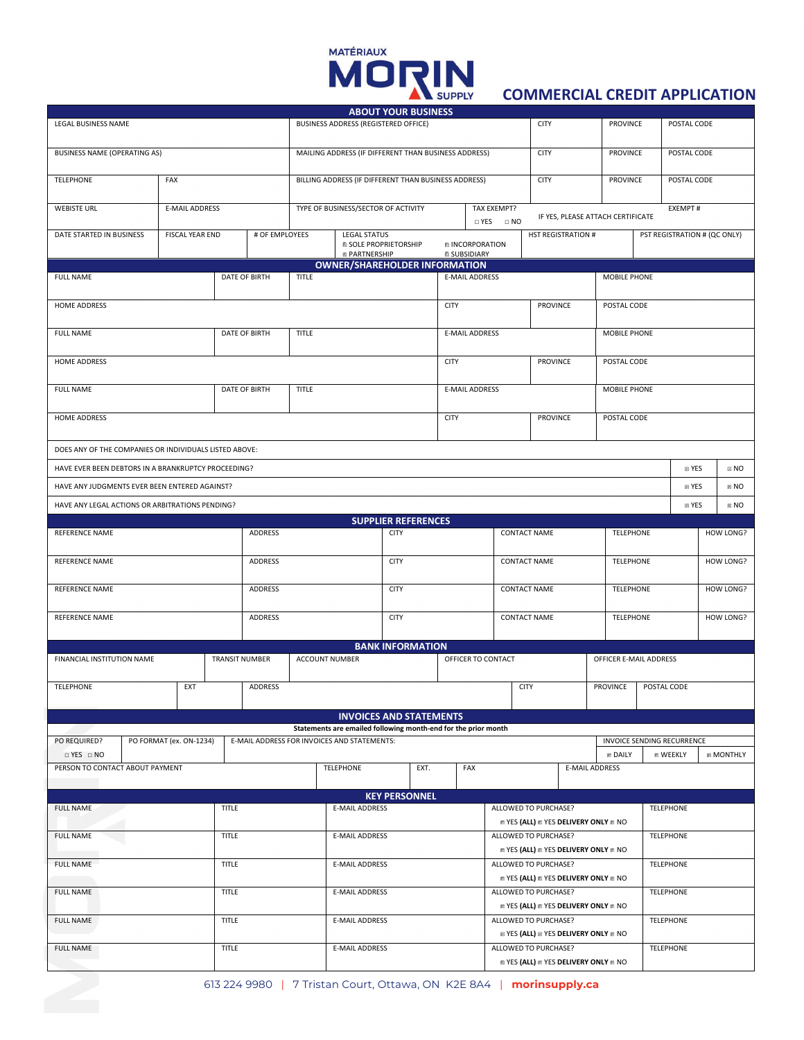# MORIN

# **COMMERCIAL CREDIT APPLICATION**

|                                                        |                                          |  |             |                                                      | <b>ABOUT YOUR BUSINESS</b>                                     |                                           |                       |                                                                            |                                       |                                                                        |                                                                     |                                              |                     |                  |                                                |              |                |
|--------------------------------------------------------|------------------------------------------|--|-------------|------------------------------------------------------|----------------------------------------------------------------|-------------------------------------------|-----------------------|----------------------------------------------------------------------------|---------------------------------------|------------------------------------------------------------------------|---------------------------------------------------------------------|----------------------------------------------|---------------------|------------------|------------------------------------------------|--------------|----------------|
| LEGAL BUSINESS NAME                                    |                                          |  |             | BUSINESS ADDRESS (REGISTERED OFFICE)                 |                                                                |                                           |                       |                                                                            |                                       | <b>CITY</b>                                                            |                                                                     |                                              | PROVINCE            |                  | POSTAL CODE                                    |              |                |
| <b>BUSINESS NAME (OPERATING AS)</b>                    |                                          |  |             | MAILING ADDRESS (IF DIFFERENT THAN BUSINESS ADDRESS) |                                                                |                                           |                       |                                                                            |                                       | <b>CITY</b>                                                            |                                                                     |                                              | PROVINCE            |                  | POSTAL CODE                                    |              |                |
| <b>TELEPHONE</b>                                       | FAX                                      |  |             | BILLING ADDRESS (IF DIFFERENT THAN BUSINESS ADDRESS) |                                                                |                                           |                       |                                                                            |                                       | <b>CITY</b><br>PROVINCE                                                |                                                                     |                                              | POSTAL CODE         |                  |                                                |              |                |
| <b>WEBISTE URL</b>                                     | <b>E-MAIL ADDRESS</b>                    |  |             | TYPE OF BUSINESS/SECTOR OF ACTIVITY                  |                                                                |                                           |                       | TAX EXEMPT?<br>$\Box$ YES $\Box$ NO                                        |                                       |                                                                        |                                                                     | EXEMPT#<br>IF YES, PLEASE ATTACH CERTIFICATE |                     |                  |                                                |              |                |
| DATE STARTED IN BUSINESS                               | <b>FISCAL YEAR END</b><br># OF EMPLOYEES |  |             | <b>LEGAL STATUS</b><br><b>E SOLE PROPRIETORSHIP</b>  |                                                                |                                           |                       | <b>HST REGISTRATION #</b><br><b>INCORPORATION</b>                          |                                       |                                                                        |                                                                     | PST REGISTRATION # (QC ONLY)                 |                     |                  |                                                |              |                |
|                                                        |                                          |  |             |                                                      | <b>@ PARTNERSHIP</b>                                           |                                           |                       |                                                                            | <b>E SUBSIDIARY</b>                   |                                                                        |                                                                     |                                              |                     |                  |                                                |              |                |
|                                                        |                                          |  |             |                                                      | <b>OWNER/SHAREHOLDER INFORMATION</b>                           |                                           |                       |                                                                            |                                       |                                                                        |                                                                     |                                              |                     |                  |                                                |              |                |
| <b>FULL NAME</b><br>DATE OF BIRTH                      |                                          |  | TITLE       |                                                      |                                                                |                                           | <b>E-MAIL ADDRESS</b> |                                                                            |                                       |                                                                        | MOBILE PHONE                                                        |                                              |                     |                  |                                                |              |                |
| HOME ADDRESS                                           |                                          |  |             |                                                      |                                                                |                                           |                       | <b>CITY</b>                                                                |                                       |                                                                        | PROVINCE                                                            |                                              | POSTAL CODE         |                  |                                                |              |                |
| DATE OF BIRTH<br><b>FULL NAME</b>                      |                                          |  |             | <b>TITLE</b>                                         |                                                                |                                           |                       | <b>E-MAIL ADDRESS</b>                                                      |                                       |                                                                        |                                                                     | MOBILE PHONE                                 |                     |                  |                                                |              |                |
| HOME ADDRESS                                           |                                          |  |             |                                                      |                                                                |                                           |                       | <b>CITY</b>                                                                |                                       |                                                                        | PROVINCE                                                            |                                              | POSTAL CODE         |                  |                                                |              |                |
| DATE OF BIRTH<br><b>FULL NAME</b>                      |                                          |  |             | TITLE                                                |                                                                |                                           |                       | <b>E-MAIL ADDRESS</b>                                                      |                                       |                                                                        |                                                                     |                                              | <b>MOBILE PHONE</b> |                  |                                                |              |                |
| HOME ADDRESS                                           |                                          |  |             |                                                      |                                                                |                                           |                       | <b>CITY</b>                                                                |                                       |                                                                        | PROVINCE                                                            |                                              | POSTAL CODE         |                  |                                                |              |                |
| DOES ANY OF THE COMPANIES OR INDIVIDUALS LISTED ABOVE: |                                          |  |             |                                                      |                                                                |                                           |                       |                                                                            |                                       |                                                                        |                                                                     |                                              |                     |                  |                                                |              |                |
| HAVE EVER BEEN DEBTORS IN A BRANKRUPTCY PROCEEDING?    |                                          |  |             |                                                      |                                                                |                                           |                       |                                                                            |                                       |                                                                        |                                                                     |                                              |                     |                  | 图 YES                                          | $\boxdot$ NO |                |
| HAVE ANY JUDGMENTS EVER BEEN ENTERED AGAINST?          |                                          |  |             |                                                      |                                                                |                                           |                       |                                                                            |                                       |                                                                        |                                                                     |                                              |                     |                  | m YES                                          |              | BNO            |
| HAVE ANY LEGAL ACTIONS OR ARBITRATIONS PENDING?        |                                          |  |             |                                                      |                                                                |                                           |                       |                                                                            |                                       |                                                                        |                                                                     |                                              |                     |                  | <b>EI YES</b>                                  |              | $E$ NO         |
| REFERENCE NAME                                         |                                          |  | ADDRESS     |                                                      |                                                                | <b>SUPPLIER REFERENCES</b><br><b>CITY</b> |                       |                                                                            |                                       | <b>CONTACT NAME</b>                                                    |                                                                     |                                              | <b>TELEPHONE</b>    |                  |                                                |              | HOW LONG?      |
|                                                        |                                          |  |             |                                                      |                                                                |                                           |                       | <b>CONTACT NAME</b>                                                        |                                       |                                                                        |                                                                     | <b>TELEPHONE</b>                             |                     |                  | HOW LONG?                                      |              |                |
| REFERENCE NAME<br>ADDRESS                              |                                          |  | <b>CITY</b> |                                                      |                                                                |                                           |                       |                                                                            |                                       |                                                                        |                                                                     |                                              |                     |                  |                                                |              |                |
| REFERENCE NAME                                         |                                          |  | ADDRESS     |                                                      |                                                                |                                           | <b>CITY</b>           |                                                                            |                                       | <b>CONTACT NAME</b>                                                    |                                                                     |                                              | TELEPHONE           |                  | HOW LONG?                                      |              |                |
| REFERENCE NAME                                         |                                          |  | ADDRESS     | <b>CITY</b>                                          |                                                                |                                           |                       | <b>CONTACT NAME</b>                                                        |                                       |                                                                        |                                                                     | <b>TELEPHONE</b>                             |                     |                  |                                                | HOW LONG?    |                |
|                                                        |                                          |  |             |                                                      |                                                                | <b>BANK INFORMATION</b>                   |                       |                                                                            |                                       |                                                                        |                                                                     |                                              |                     |                  |                                                |              |                |
| FINANCIAL INSTITUTION NAME<br><b>TRANSIT NUMBER</b>    |                                          |  |             | <b>ACCOUNT NUMBER</b>                                |                                                                |                                           |                       | OFFICER TO CONTACT                                                         |                                       |                                                                        |                                                                     | OFFICER E-MAIL ADDRESS                       |                     |                  |                                                |              |                |
| <b>TELEPHONE</b>                                       | EXT                                      |  | ADDRESS     |                                                      |                                                                |                                           |                       |                                                                            |                                       | <b>CITY</b>                                                            |                                                                     |                                              | PROVINCE            |                  | POSTAL CODE                                    |              |                |
|                                                        |                                          |  |             |                                                      | <b>INVOICES AND STATEMENTS</b>                                 |                                           |                       |                                                                            |                                       |                                                                        |                                                                     |                                              |                     |                  |                                                |              |                |
|                                                        |                                          |  |             |                                                      | Statements are emailed following month-end for the prior month |                                           |                       |                                                                            |                                       |                                                                        |                                                                     |                                              |                     |                  |                                                |              |                |
| PO REQUIRED?<br>$\Box$ YES $\Box$ NO                   | PO FORMAT (ex. ON-1234)                  |  |             |                                                      | E-MAIL ADDRESS FOR INVOICES AND STATEMENTS:                    |                                           |                       |                                                                            |                                       |                                                                        |                                                                     |                                              | <b>EDAILY</b>       |                  | INVOICE SENDING RECURRENCE<br><b>MINNEEKLY</b> |              | <b>MONTHLY</b> |
| PERSON TO CONTACT ABOUT PAYMENT                        |                                          |  |             |                                                      | <b>TELEPHONE</b>                                               |                                           | EXT.                  |                                                                            | FAX                                   |                                                                        |                                                                     | <b>E-MAIL ADDRESS</b>                        |                     |                  |                                                |              |                |
|                                                        |                                          |  |             |                                                      |                                                                | <b>KEY PERSONNEL</b>                      |                       |                                                                            |                                       |                                                                        |                                                                     |                                              |                     |                  |                                                |              |                |
| <b>TITLE</b><br><b>FULL NAME</b>                       |                                          |  |             | <b>E-MAIL ADDRESS</b>                                |                                                                |                                           |                       | ALLOWED TO PURCHASE?<br><b>E YES (ALL) E YES DELIVERY ONLY E NO</b>        |                                       |                                                                        |                                                                     | <b>TELEPHONE</b>                             |                     |                  |                                                |              |                |
| <b>TITLE</b><br><b>FULL NAME</b>                       |                                          |  |             | <b>E-MAIL ADDRESS</b>                                |                                                                |                                           |                       | ALLOWED TO PURCHASE?<br><b>EXPLOSE (ALL) EXPLOSE DELIVERY ONLY EXPLOSE</b> |                                       |                                                                        |                                                                     |                                              | <b>TELEPHONE</b>    |                  |                                                |              |                |
| <b>FULL NAME</b><br><b>TITLE</b>                       |                                          |  |             |                                                      | <b>E-MAIL ADDRESS</b>                                          |                                           |                       |                                                                            |                                       |                                                                        | ALLOWED TO PURCHASE?                                                |                                              |                     | <b>TELEPHONE</b> |                                                |              |                |
| <b>TITLE</b><br><b>FULL NAME</b>                       |                                          |  |             |                                                      | <b>E-MAIL ADDRESS</b>                                          |                                           |                       |                                                                            |                                       |                                                                        | <b>E YES (ALL) E YES DELIVERY ONLY E NO</b><br>ALLOWED TO PURCHASE? |                                              |                     |                  | <b>TELEPHONE</b>                               |              |                |
| <b>TITLE</b><br><b>FULL NAME</b>                       |                                          |  |             |                                                      | <b>E-MAIL ADDRESS</b>                                          |                                           |                       | ALLOWED TO PURCHASE?                                                       |                                       |                                                                        | <b>E YES (ALL) E YES DELIVERY ONLY E NO</b>                         |                                              |                     |                  | <b>TELEPHONE</b>                               |              |                |
| <b>TITLE</b><br><b>FULL NAME</b>                       |                                          |  |             | <b>E-MAIL ADDRESS</b>                                |                                                                |                                           |                       |                                                                            |                                       | <b>EN YES (ALL) EN YES DELIVERY ONLY EN NO</b><br>ALLOWED TO PURCHASE? |                                                                     |                                              |                     | <b>TELEPHONE</b> |                                                |              |                |
|                                                        |                                          |  |             |                                                      |                                                                |                                           |                       |                                                                            | <b>EXECUTE: YES DELIVERY ONLY AND</b> |                                                                        |                                                                     |                                              |                     |                  |                                                |              |                |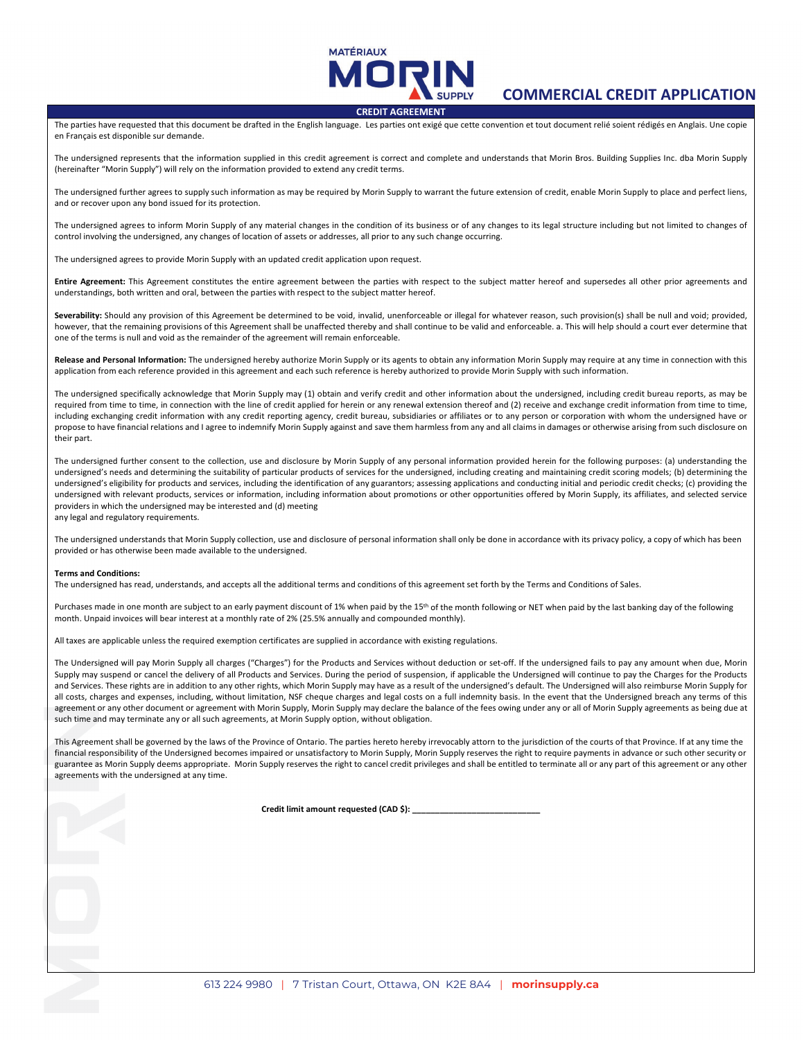

# **COMMERCIAL CREDIT APPLICATION**

#### **CREDIT AGREEMENT**

The parties have requested that this document be drafted in the English language. Les parties ont exigé que cette convention et tout document relié soient rédigés en Anglais. Une copie en Français est disponible sur demande.

The undersigned represents that the information supplied in this credit agreement is correct and complete and understands that Morin Bros. Building Supplies Inc. dba Morin Supply (hereinafter "Morin Supply") will rely on the information provided to extend any credit terms.

The undersigned further agrees to supply such information as may be required by Morin Supply to warrant the future extension of credit, enable Morin Supply to place and perfect liens, and or recover upon any bond issued for its protection.

The undersigned agrees to inform Morin Supply of any material changes in the condition of its business or of any changes to its legal structure including but not limited to changes of control involving the undersigned, any changes of location of assets or addresses, all prior to any such change occurring.

The undersigned agrees to provide Morin Supply with an updated credit application upon request.

**Entire Agreement:** This Agreement constitutes the entire agreement between the parties with respect to the subject matter hereof and supersedes all other prior agreements and understandings, both written and oral, between the parties with respect to the subject matter hereof.

Severability: Should any provision of this Agreement be determined to be void, invalid, unenforceable or illegal for whatever reason, such provision(s) shall be null and void; provided, however, that the remaining provisions of this Agreement shall be unaffected thereby and shall continue to be valid and enforceable. a. This will help should a court ever determine that one of the terms is null and void as the remainder of the agreement will remain enforceable.

**Release and Personal Information:** The undersigned hereby authorize Morin Supply or its agents to obtain any information Morin Supply may require at any time in connection with this application from each reference provided in this agreement and each such reference is hereby authorized to provide Morin Supply with such information.

The undersigned specifically acknowledge that Morin Supply may (1) obtain and verify credit and other information about the undersigned, including credit bureau reports, as may be required from time to time, in connection with the line of credit applied for herein or any renewal extension thereof and (2) receive and exchange credit information from time to time, including exchanging credit information with any credit reporting agency, credit bureau, subsidiaries or affiliates or to any person or corporation with whom the undersigned have or propose to have financial relations and I agree to indemnify Morin Supply against and save them harmless from any and all claims in damages or otherwise arising from such disclosure on their part.

The undersigned further consent to the collection, use and disclosure by Morin Supply of any personal information provided herein for the following purposes: (a) understanding the undersigned's needs and determining the suitability of particular products of services for the undersigned, including creating and maintaining credit scoring models; (b) determining the undersigned's eligibility for products and services, including the identification of any guarantors; assessing applications and conducting initial and periodic credit checks; (c) providing the undersigned with relevant products, services or information, including information about promotions or other opportunities offered by Morin Supply, its affiliates, and selected service providers in which the undersigned may be interested and (d) meeting

any legal and regulatory requirements.

The undersigned understands that Morin Supply collection, use and disclosure of personal information shall only be done in accordance with its privacy policy, a copy of which has been provided or has otherwise been made available to the undersigned.

#### **Terms and Conditions:**

The undersigned has read, understands, and accepts all the additional terms and conditions of this agreement set forth by the Terms and Conditions of Sales.

Purchases made in one month are subject to an early payment discount of 1% when paid by the 15<sup>th</sup> of the month following or NET when paid by the last banking day of the following month. Unpaid invoices will bear interest at a monthly rate of 2% (25.5% annually and compounded monthly).

All taxes are applicable unless the required exemption certificates are supplied in accordance with existing regulations.

The Undersigned will pay Morin Supply all charges ("Charges") for the Products and Services without deduction or set-off. If the undersigned fails to pay any amount when due, Morin Supply may suspend or cancel the delivery of all Products and Services. During the period of suspension, if applicable the Undersigned will continue to pay the Charges for the Products and Services. These rights are in addition to any other rights, which Morin Supply may have as a result of the undersigned's default. The Undersigned will also reimburse Morin Supply for all costs, charges and expenses, including, without limitation, NSF cheque charges and legal costs on a full indemnity basis. In the event that the Undersigned breach any terms of this agreement or any other document or agreement with Morin Supply, Morin Supply may declare the balance of the fees owing under any or all of Morin Supply agreements as being due at such time and may terminate any or all such agreements, at Morin Supply option, without obligation.

This Agreement shall be governed by the laws of the Province of Ontario. The parties hereto hereby irrevocably attorn to the jurisdiction of the courts of that Province. If at any time the financial responsibility of the Undersigned becomes impaired or unsatisfactory to Morin Supply, Morin Supply reserves the right to require payments in advance or such other security or guarantee as Morin Supply deems appropriate. Morin Supply reserves the right to cancel credit privileges and shall be entitled to terminate all or any part of this agreement or any other agreements with the undersigned at any time.

Credit limit amount requested (CAD \$):